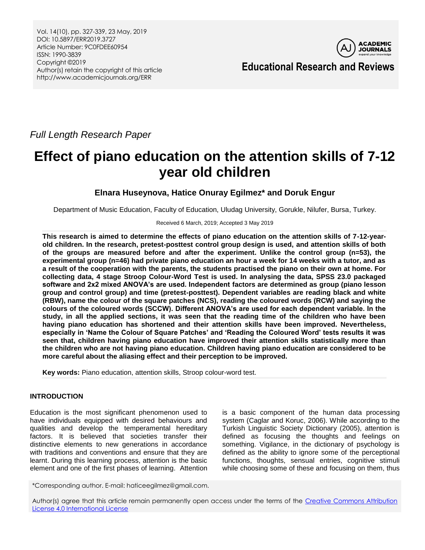

**Educational Research and Reviews**

*Full Length Research Paper*

# **Effect of piano education on the attention skills of 7-12 year old children**

## **Elnara Huseynova, Hatice Onuray Egilmez\* and Doruk Engur**

Department of Music Education, Faculty of Education, Uludag University, Gorukle, Nilufer, Bursa, Turkey.

## Received 6 March, 2019; Accepted 3 May 2019

**This research is aimed to determine the effects of piano education on the attention skills of 7-12-yearold children. In the research, pretest-posttest control group design is used, and attention skills of both of the groups are measured before and after the experiment. Unlike the control group (n=53), the experimental group (n=46) had private piano education an hour a week for 14 weeks with a tutor, and as a result of the cooperation with the parents, the students practised the piano on their own at home. For collecting data, 4 stage Stroop Colour-Word Test is used. In analysing the data, SPSS 23.0 packaged software and 2x2 mixed ANOVA's are used. Independent factors are determined as group (piano lesson group and control group) and time (pretest-posttest). Dependent variables are reading black and white (RBW), name the colour of the square patches (NCS), reading the coloured words (RCW) and saying the colours of the coloured words (SCCW). Different ANOVA's are used for each dependent variable. In the study, in all the applied sections, it was seen that the reading time of the children who have been having piano education has shortened and their attention skills have been improved. Nevertheless, especially in 'Name the Colour of Square Patches' and 'Reading the Coloured Word' tests results it was seen that, children having piano education have improved their attention skills statistically more than the children who are not having piano education. Children having piano education are considered to be more careful about the aliasing effect and their perception to be improved.**

**Key words:** Piano education, attention skills, Stroop colour-word test.

## **INTRODUCTION**

Education is the most significant phenomenon used to have individuals equipped with desired behaviours and qualities and develop the temperamental hereditary factors. It is believed that societies transfer their distinctive elements to new generations in accordance with traditions and conventions and ensure that they are learnt. During this learning process, attention is the basic element and one of the first phases of learning. Attention

is a basic component of the human data processing system (Caglar and Koruc, 2006). While according to the Turkish Linguistic Society Dictionary (2005), attention is defined as focusing the thoughts and feelings on something. Vigilance, in the dictionary of psychology is defined as the ability to ignore some of the perceptional functions, thoughts, sensual entries, cognitive stimuli while choosing some of these and focusing on them, thus

\*Corresponding author. E-mail: haticeegilmez@gmail.com.

Author(s) agree that this article remain permanently open access under the terms of the [Creative Commons Attribution](http://creativecommons.org/licenses/by/4.0/deed.en_US)  [License 4.0 International License](http://creativecommons.org/licenses/by/4.0/deed.en_US)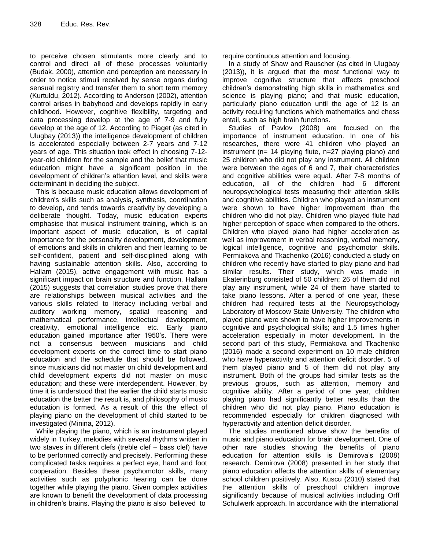to perceive chosen stimulants more clearly and to control and direct all of these processes voluntarily (Budak, 2000), attention and perception are necessary in order to notice stimuli received by sense organs during sensual registry and transfer them to short term memory (Kurtuldu, 2012). According to Anderson (2002), attention control arises in babyhood and develops rapidly in early childhood. However, cognitive flexibility, targeting and data processing develop at the age of 7-9 and fully develop at the age of 12. According to Piaget (as cited in Ulugbay (2013)) the intelligence development of children is accelerated especially between 2-7 years and 7-12 years of age. This situation took effect in choosing 7-12 year-old children for the sample and the belief that music education might have a significant position in the development of children's attention level, and skills were determinant in deciding the subject.

This is because music education allows development of children's skills such as analysis, synthesis, coordination to develop, and tends towards creativity by developing a deliberate thought. Today, music education experts emphasise that musical instrument training, which is an important aspect of music education, is of capital importance for the personality development, development of emotions and skills in children and their learning to be self-confident, patient and self-disciplined along with having sustainable attention skills. Also, according to Hallam (2015), active engagement with music has a significant impact on brain structure and function. Hallam (2015) suggests that correlation studies prove that there are relationships between musical activities and the various skills related to literacy including verbal and auditory working memory, spatial reasoning and mathematical performance, intellectual development, creativity, emotional intelligence etc. Early piano education gained importance after 1950's. There were not a consensus between musicians and child development experts on the correct time to start piano education and the schedule that should be followed, since musicians did not master on child development and child development experts did not master on music education; and these were interdependent. However, by time it is understood that the earlier the child starts music education the better the result is, and philosophy of music education is formed. As a result of this the effect of playing piano on the development of child started to be investigated (Minina, 2012).

While playing the piano, which is an instrument played widely in Turkey, melodies with several rhythms written in two staves in different clefs (treble clef – bass clef) have to be performed correctly and precisely. Performing these complicated tasks requires a perfect eye, hand and foot cooperation. Besides these psychomotor skills, many activities such as polyphonic hearing can be done together while playing the piano. Given complex activities are known to benefit the development of data processing in children's brains. Playing the piano is also believed to

require continuous attention and focusing.

In a study of Shaw and Rauscher (as cited in Ulugbay (2013)), it is argued that the most functional way to improve cognitive structure that affects preschool children's demonstrating high skills in mathematics and science is playing piano; and that music education, particularly piano education until the age of 12 is an activity requiring functions which mathematics and chess entail, such as high brain functions.

Studies of Pavlov (2008) are focused on the importance of instrument education. In one of his researches, there were 41 children who played an instrument (n= 14 playing flute, n=27 playing piano) and 25 children who did not play any instrument. All children were between the ages of 6 and 7, their characteristics and cognitive abilities were equal. After 7-8 months of education, all of the children had 6 different neuropsychological tests measuring their attention skills and cognitive abilities. Children who played an instrument were shown to have higher improvement than the children who did not play. Children who played flute had higher perception of space when compared to the others. Children who played piano had higher acceleration as well as improvement in verbal reasoning, verbal memory, logical intelligence, cognitive and psychomotor skills. Permiakova and Tkachenko (2016) conducted a study on children who recently have started to play piano and had similar results. Their study, which was made in Ekaterinburg consisted of 50 children; 26 of them did not play any instrument, while 24 of them have started to take piano lessons. After a period of one year, these children had required tests at the Neuropsychology Laboratory of Moscow State University. The children who played piano were shown to have higher improvements in cognitive and psychological skills; and 1.5 times higher acceleration especially in motor development. In the second part of this study, Permiakova and Tkachenko (2016) made a second experiment on 10 male children who have hyperactivity and attention deficit disorder. 5 of them played piano and 5 of them did not play any instrument. Both of the groups had similar tests as the previous groups, such as attention, memory and cognitive ability. After a period of one year, children playing piano had significantly better results than the children who did not play piano. Piano education is recommended especially for children diagnosed with hyperactivity and attention deficit disorder.

The studies mentioned above show the benefits of music and piano education for brain development. One of other rare studies showing the benefits of piano education for attention skills is Demirova's (2008) research. Demirova (2008) presented in her study that piano education affects the attention skills of elementary school children positively. Also, Kuscu (2010) stated that the attention skills of preschool children improve significantly because of musical activities including Orff Schulwerk approach. In accordance with the international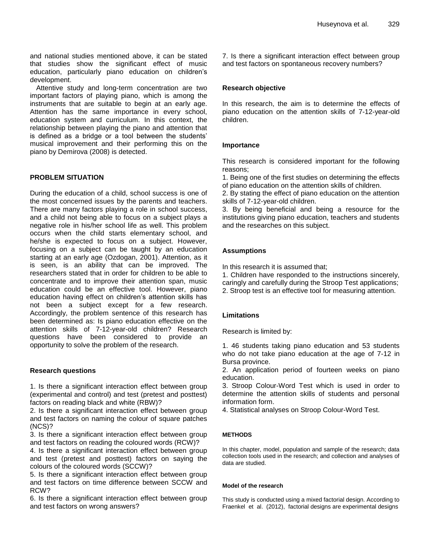and national studies mentioned above, it can be stated that studies show the significant effect of music education, particularly piano education on children's development.

Attentive study and long-term concentration are two important factors of playing piano, which is among the instruments that are suitable to begin at an early age. Attention has the same importance in every school, education system and curriculum. In this context, the relationship between playing the piano and attention that is defined as a bridge or a tool between the students' musical improvement and their performing this on the piano by Demirova (2008) is detected.

## **PROBLEM SITUATION**

During the education of a child, school success is one of the most concerned issues by the parents and teachers. There are many factors playing a role in school success, and a child not being able to focus on a subject plays a negative role in his/her school life as well. This problem occurs when the child starts elementary school, and he/she is expected to focus on a subject. However, focusing on a subject can be taught by an education starting at an early age (Ozdogan, 2001). Attention, as it is seen, is an ability that can be improved. The researchers stated that in order for children to be able to concentrate and to improve their attention span, music education could be an effective tool. However, piano education having effect on children's attention skills has not been a subject except for a few research. Accordingly, the problem sentence of this research has been determined as: Is piano education effective on the attention skills of 7-12-year-old children? Research questions have been considered to provide an opportunity to solve the problem of the research.

## **Research questions**

1. Is there a significant interaction effect between group (experimental and control) and test (pretest and posttest) factors on reading black and white (RBW)?

2. Is there a significant interaction effect between group and test factors on naming the colour of square patches (NCS)?

3. Is there a significant interaction effect between group and test factors on reading the coloured words (RCW)?

4. Is there a significant interaction effect between group and test (pretest and posttest) factors on saying the colours of the coloured words (SCCW)?

5. Is there a significant interaction effect between group and test factors on time difference between SCCW and RCW?

6. Is there a significant interaction effect between group and test factors on wrong answers?

7. Is there a significant interaction effect between group and test factors on spontaneous recovery numbers?

## **Research objective**

In this research, the aim is to determine the effects of piano education on the attention skills of 7-12-year-old children.

## **Importance**

This research is considered important for the following reasons;

1. Being one of the first studies on determining the effects of piano education on the attention skills of children.

2. By stating the effect of piano education on the attention skills of 7-12-year-old children.

3. By being beneficial and being a resource for the institutions giving piano education, teachers and students and the researches on this subject.

## **Assumptions**

In this research it is assumed that;

- 1. Children have responded to the instructions sincerely,
- caringly and carefully during the Stroop Test applications;
- 2. Stroop test is an effective tool for measuring attention.

## **Limitations**

Research is limited by:

1. 46 students taking piano education and 53 students who do not take piano education at the age of 7-12 in Bursa province.

2. An application period of fourteen weeks on piano education.

3. Stroop Colour-Word Test which is used in order to determine the attention skills of students and personal information form.

4. Statistical analyses on Stroop Colour-Word Test.

## **METHODS**

In this chapter, model, population and sample of the research; data collection tools used in the research; and collection and analyses of data are studied.

## **Model of the research**

This study is conducted using a mixed factorial design. According to Fraenkel et al. (2012), factorial designs are experimental designs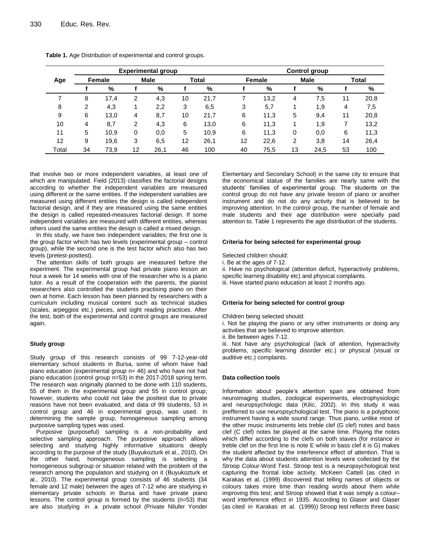|       |    |        |    | <b>Experimental group</b> |    |              |    |        |    | <b>Control group</b> |    |              |
|-------|----|--------|----|---------------------------|----|--------------|----|--------|----|----------------------|----|--------------|
| Age   |    | Female |    | Male                      |    | <b>Total</b> |    | Female |    | <b>Male</b>          |    | <b>Total</b> |
|       |    | %      |    | %                         |    | $\%$         |    | %      |    | %                    |    | $\%$         |
|       | 8  | 17.4   | 2  | 4,3                       | 10 | 21,7         |    | 13,2   | 4  | 7.5                  | 11 | 20,8         |
| 8     | 2  | 4,3    |    | 2,2                       | 3  | 6,5          | 3  | 5,7    |    | 1,9                  | 4  | 7,5          |
| 9     | 6  | 13,0   | 4  | 8,7                       | 10 | 21,7         | 6  | 11,3   | 5  | 9,4                  | 11 | 20,8         |
| 10    | 4  | 8,7    | 2  | 4,3                       | 6  | 13,0         | 6  | 11,3   |    | 1,9                  |    | 13,2         |
| 11    | 5  | 10,9   | 0  | 0,0                       | 5  | 10,9         | 6  | 11,3   | 0  | 0,0                  | 6  | 11,3         |
| 12    | 9  | 19,6   | 3  | 6,5                       | 12 | 26,1         | 12 | 22,6   | 2  | 3,8                  | 14 | 26,4         |
| Total | 34 | 73,9   | 12 | 26,1                      | 46 | 100          | 40 | 75,5   | 13 | 24,5                 | 53 | 100          |

**Table 1.** Age Distribution of experimental and control groups.

that involve two or more independent variables, at least one of which are manipulated. Field (2013) classifies the factorial designs according to whether the independent variables are measured using different or the same entities. If the independent variables are measured using different entities the design is called independent factorial design, and if they are measured using the same entities the design is called repeated-measures factorial design. If some independent variables are measured with different entities, whereas others used the same entities the design is called a mixed design.

In this study, we have two independent variables; the first one is the group factor which has two levels (experimental group – control group), while the second one is the test factor which also has two levels (pretest-posttest).

The attention skills of both groups are measured before the experiment. The experimental group had private piano lesson an hour a week for 14 weeks with one of the researcher who is a piano tutor. As a result of the cooperation with the parents, the pianist researchers also controlled the students practising piano on their own at home. Each lesson has been planned by researchers with a curriculum including musical content such as technical studies (scales, arpeggios etc.) pieces, and sight reading practices. After the test, both of the experimental and control groups are measured again.

#### **Study group**

Study group of this research consists of 99 7-12-year-old elementary school students in Bursa, some of whom have had piano education (experimental group n= 46) and who have not had piano education (control group n=53) in the 2017-2018 spring term. The research was originally planned to be done with 110 students, 55 of them in the experimental group and 55 in control group; however, students who could not take the posttest due to private reasons have not been evaluated, and data of 99 students, 53 in control group and 46 in experimental group, was used. In determining the sample group, homogeneous sampling among purposive sampling types was used.

Purposive (purposeful) sampling is a non-probability and selective sampling approach. The purposive approach allows selecting and studying highly informative situations deeply according to the purpose of the study (Buyukozturk et al., 2010). On the other hand, homogeneous sampling is selecting a homogeneous subgroup or situation related with the problem of the research among the population and studying on it (Buyukozturk et al., 2010). The experimental group consists of 46 students (34 female and 12 male) between the ages of 7-12 who are studying in elementary private schools in Bursa and have private piano lessons. The control group is formed by the students (n=53) that are also studying in a private school (Private Nilufer Yonder

Elementary and Secondary School) in the same city to ensure that the economical statue of the families are nearly same with the students' families of experimental group. The students on the control group do not have any private lesson of piano or another instrument and do not do any activity that is believed to be improving attention. In the control group, the number of female and male students and their age distribution were specially paid attention to. Table 1 represents the age distribution of the students.

#### **Criteria for being selected for experimental group**

Selected children should:

i. Be at the ages of 7-12.

ii. Have no psychological (attention deficit, hyperactivity problems, specific learning disability etc) and physical complaints. iii. Have started piano education at least 2 months ago.

#### **Criteria for being selected for control group**

Children being selected should:

i. Not be playing the piano or any other instruments or doing any activities that are believed to improve attention.

ii. Be between ages 7-12.

iii. Not have any psychological (lack of attention, hyperactivity problems, specific learning disorder etc.) or physical (visual or auditive etc.) complaints.

#### **Data collection tools**

Information about people's attention span are obtained from neuroimaging studies, zoological experiments, electrophysiologic and neuropsychologic data (Kilic, 2002). In this study it was prefferred to use neuropsychological test. The piano is a polyphonic instrument having a wide sound range. Thus piano, unlike most of the other music instruments lets treble clef (G clef) notes and bass clef (C clef) notes be played at the same time. Playing the notes which differ according to the clefs on both staves (for instance in treble clef on the first line is note E while in bass clef it is G) makes the student affected by the interference effect of attention. That is why the data about students attention levels were collected by the Stroop Colour-Word Test. Stroop test is a neuropsychological test capturing the frontal lobe activity. McKeen Cattell (as cited in Karakas et al. (1999) discovered that telling names of objects or colours takes more time than reading words about them while improving this test; and Stroop showed that it was simply a colour– word interference effect in 1935. According to Glaser and Glaser (as cited in Karakas et al. (1999)) Stroop test reflects three basic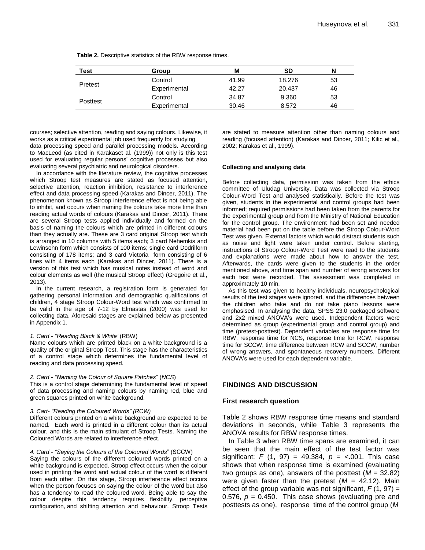| <b>Test</b> | Group        | М     | <b>SD</b> | N  |
|-------------|--------------|-------|-----------|----|
|             | Control      | 41.99 | 18.276    | 53 |
| Pretest     | Experimental | 42.27 | 20.437    | 46 |
|             | Control      | 34.87 | 9.360     | 53 |
| Posttest    | Experimental | 30.46 | 8.572     | 46 |

courses; selective attention, reading and saying colours. Likewise, it works as a critical experimental job used frequently for studying data processing speed and parallel processing models. According to MacLeod (as cited in Karakaset al. (1999)) not only is this test used for evaluating regular persons' cognitive processes but also evaluating several psychiatric and neurological disorders.

In accordance with the literature review, the cognitive processes which Stroop test measures are stated as focused attention, selective attention, reaction inhibition, resistance to interference effect and data processing speed (Karakas and Dincer, 2011). The phenomenon known as Stroop interference effect is not being able to inhibit, and occurs when naming the colours take more time than reading actual words of colours (Karakas and Dincer, 2011). There are several Stroop tests applied individually and formed on the basis of naming the colours which are printed in different colours than they actually are. These are 3 card original Stroop test which is arranged in 10 columns with 5 items each; 3 card Nehemkis and Lewinsohn form which consists of 100 items; single card Dodrilform consisting of 178 items; and 3 card Victoria form consisting of 6 lines with 4 items each (Karakas and Dincer, 2011). There is a version of this test which has musical notes instead of word and colour elements as well (the musical Stroop effect) (Gregoire et al., 2013).

In the current research, a registration form is generated for gathering personal information and demographic qualifications of children, 4 stage Stroop Colour-Word test which was confirmed to be valid in the age of 7-12 by Elmastas (2000) was used for collecting data. Aforesaid stages are explained below as presented in Appendix 1.

#### *1. Card - "Reading Black & White'* (RBW)

Name colours which are printed black on a white background is a quality of the original Stroop Test. This stage has the characteristics of a control stage which determines the fundamental level of reading and data processing speed.

#### *2. Card - "Naming the Colour of Square Patches*" (*NCS*)

This is a control stage determining the fundamental level of speed of data processing and naming colours by naming red, blue and green squares printed on white background.

#### *3. Cart- "Reading the Coloured Words" (RCW)*

Different colours printed on a white background are expected to be named. Each word is printed in a different colour than its actual colour, and this is the main stimulant of Stroop Tests. Naming the Coloured Words are related to interference effect.

#### *4. Card - "Saying the Colours of the Coloured Words*" (SCCW)

Saying the colours of the different coloured words printed on a white background is expected. Stroop effect occurs when the colour used in printing the word and actual colour of the word is different from each other. On this stage, Stroop interference effect occurs when the person focuses on saying the colour of the word but also has a tendency to read the coloured word. Being able to say the colour despite this tendency requires flexibility, perceptive configuration, and shifting attention and behaviour. Stroop Tests

are stated to measure attention other than naming colours and reading (focused attention) (Karakas and Dincer, 2011; Kilic et al., 2002; Karakas et al., 1999).

#### **Collecting and analysing data**

Before collecting data, permission was taken from the ethics committee of Uludag University. Data was collected via Stroop Colour-Word Test and analysed statistically. Before the test was given, students in the experimental and control groups had been informed; required permissions had been taken from the parents for the experimental group and from the Ministry of National Education for the control group. The environment had been set and needed material had been put on the table before the Stroop Colour-Word Test was given. External factors which would distract students such as noise and light were taken under control. Before starting, instructions of Stroop Colour-Word Test were read to the students and explanations were made about how to answer the test. Afterwards, the cards were given to the students in the order mentioned above, and time span and number of wrong answers for each test were recorded. The assessment was completed in approximately 10 min.

As this test was given to healthy individuals, neuropsychological results of the test stages were ignored, and the differences between the children who take and do not take piano lessons were emphasised. In analysing the data, SPSS 23.0 packaged software and 2x2 mixed ANOVA's were used. Independent factors were determined as group (experimental group and control group) and time (pretest-posttest). Dependent variables are response time for RBW, response time for NCS, response time for RCW, response time for SCCW, time difference between RCW and SCCW, number of wrong answers, and spontaneous recovery numbers. Different ANOVA's were used for each dependent variable.

## **FINDINGS AND DISCUSSION**

#### **First research question**

Table 2 shows RBW response time means and standard deviations in seconds, while Table 3 represents the ANOVA results for RBW response times.

In Table 3 when RBW time spans are examined, it can be seen that the main effect of the test factor was significant: *F* (1, 97) = 49.384, *p* = <.001. This case shows that when response time is examined (evaluating two groups as one), answers of the posttest (*M* = 32.82) were given faster than the pretest  $(M = 42.12)$ . Main effect of the group variable was not significant,  $F(1, 97) =$ 0.576,  $p = 0.450$ . This case shows (evaluating pre and posttests as one), response time of the control group (*M*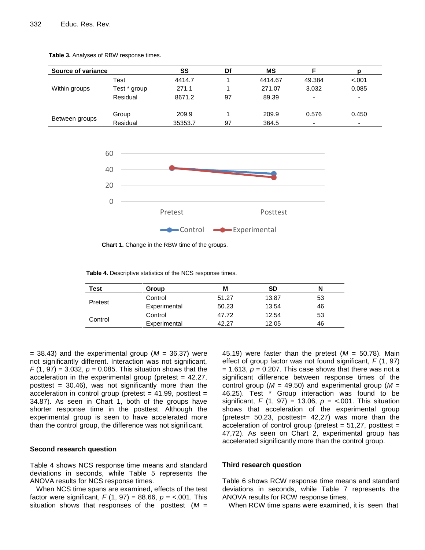

**Table 3.** Analyses of RBW response times.



**Chart 1.** Change in the RBW time of the groups.

**Table 4.** Descriptive statistics of the NCS response times.

| Test    | Group        | M     | SD    | N  |
|---------|--------------|-------|-------|----|
|         | Control      | 51.27 | 13.87 | 53 |
| Pretest | Experimental | 50.23 | 13.54 | 46 |
|         | Control      | 47.72 | 12.54 | 53 |
| Control | Experimental | 42 27 | 12.05 | 46 |

 $=$  38.43) and the experimental group ( $M = 36,37$ ) were not significantly different. Interaction was not significant,  $F(1, 97) = 3.032$ ,  $p = 0.085$ . This situation shows that the acceleration in the experimental group (pretest  $= 42.27$ , posttest =  $30.46$ ), was not significantly more than the acceleration in control group (pretest  $= 41.99$ , posttest  $=$ 34.87). As seen in Chart 1, both of the groups have shorter response time in the posttest. Although the experimental group is seen to have accelerated more than the control group, the difference was not significant.

#### **Second research question**

Table 4 shows NCS response time means and standard deviations in seconds, while Table 5 represents the ANOVA results for NCS response times.

When NCS time spans are examined, effects of the test factor were significant, *F* (1, 97) = 88.66, *p* = <.001. This situation shows that responses of the posttest (*M* = 45.19) were faster than the pretest  $(M = 50.78)$ . Main effect of group factor was not found significant, *F* (1, 97)  $= 1.613$ ,  $p = 0.207$ . This case shows that there was not a significant difference between response times of the control group ( $M = 49.50$ ) and experimental group ( $M =$ 46.25). Test \* Group interaction was found to be significant, *F* (1, 97) = 13.06, *p* = <.001. This situation shows that acceleration of the experimental group (pretest=  $50,23$ , posttest=  $42,27$ ) was more than the acceleration of control group (pretest  $= 51,27$ , posttest  $=$ 47,72). As seen on Chart 2, experimental group has accelerated significantly more than the control group.

## **Third research question**

Table 6 shows RCW response time means and standard deviations in seconds, while Table 7 represents the ANOVA results for RCW response times.

When RCW time spans were examined, it is seen that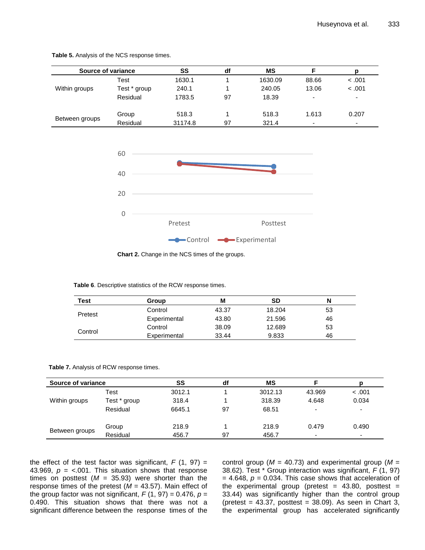| Source of variance |              | SS      | df | МS      |                          |                          |
|--------------------|--------------|---------|----|---------|--------------------------|--------------------------|
|                    | Test         | 1630.1  |    | 1630.09 | 88.66                    | < .001                   |
| Within groups      | Test * group | 240.1   |    | 240.05  | 13.06                    | < .001                   |
|                    | Residual     | 1783.5  | 97 | 18.39   | $\overline{\phantom{0}}$ | $\overline{\phantom{0}}$ |
| Between groups     | Group        | 518.3   |    | 518.3   | 1.613                    | 0.207                    |
|                    | Residual     | 31174.8 | 97 | 321.4   | $\overline{\phantom{0}}$ | $\overline{\phantom{0}}$ |

**Table 5.** Analysis of the NCS response times.



**Chart 2.** Change in the NCS times of the groups.

| Table 6. Descriptive statistics of the RCW response times. |  |  |  |  |
|------------------------------------------------------------|--|--|--|--|
|------------------------------------------------------------|--|--|--|--|

| <b>Test</b> | Group        | М     | SD               | N  |
|-------------|--------------|-------|------------------|----|
|             | Control      | 43.37 | 18.204           | 53 |
| Pretest     | Experimental | 43.80 | 21.596<br>12.689 | 46 |
|             | Control      | 38.09 |                  | 53 |
| Control     | Experimental | 33.44 | 9.833            | 46 |

| Table 7. Analysis of RCW response times. |  |
|------------------------------------------|--|
|------------------------------------------|--|

| Source of variance |              | SS     | df | ΜS      |                          |                          |
|--------------------|--------------|--------|----|---------|--------------------------|--------------------------|
|                    | Test         | 3012.1 |    | 3012.13 | 43.969                   | < .001                   |
| Within groups      | Test * group | 318.4  |    | 318.39  | 4.648                    | 0.034                    |
|                    | Residual     | 6645.1 | 97 | 68.51   | $\overline{\phantom{0}}$ | $\overline{\phantom{0}}$ |
| Between groups     | Group        | 218.9  |    | 218.9   | 0.479                    | 0.490                    |
|                    | Residual     | 456.7  | 97 | 456.7   | $\overline{\phantom{0}}$ | $\overline{\phantom{0}}$ |

the effect of the test factor was significant,  $F(1, 97) =$ 43.969,  $p = <.001$ . This situation shows that response times on posttest  $(M = 35.93)$  were shorter than the response times of the pretest (*M* = 43.57). Main effect of the group factor was not significant,  $F(1, 97) = 0.476$ ,  $p =$ 0.490. This situation shows that there was not a significant difference between the response times of the control group (*M* = 40.73) and experimental group (*M* = 38.62). Test \* Group interaction was significant, *F* (1, 97)  $= 4.648$ ,  $p = 0.034$ . This case shows that acceleration of the experimental group (pretest =  $43.80$ , posttest = 33.44) was significantly higher than the control group (pretest =  $43.37$ , posttest =  $38.09$ ). As seen in Chart 3, the experimental group has accelerated significantly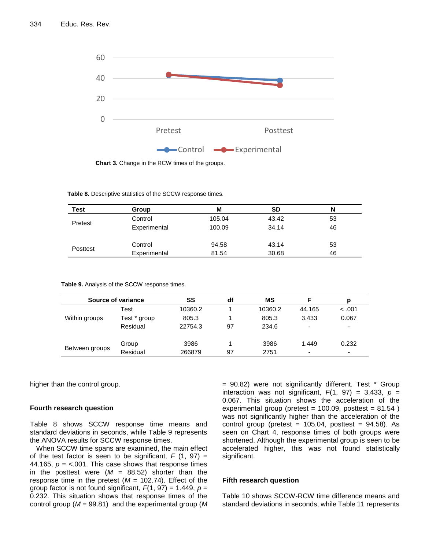

**Chart 3.** Change in the RCW times of the groups.

**Table 8.** Descriptive statistics of the SCCW response times.

| <b>Test</b> | Group        | М      | <b>SD</b> | N  |
|-------------|--------------|--------|-----------|----|
| Pretest     | Control      | 105.04 | 43.42     | 53 |
|             | Experimental | 100.09 | 34.14     | 46 |
|             | Control      | 94.58  | 43.14     | 53 |
| Posttest    | Experimental | 81.54  | 30.68     | 46 |

|                | Source of variance | SS      | df | ΜS      | F      |        |
|----------------|--------------------|---------|----|---------|--------|--------|
|                | Test               | 10360.2 |    | 10360.2 | 44.165 | < 0.01 |
| Within groups  | Test * group       | 805.3   |    | 805.3   | 3.433  | 0.067  |
|                | Residual           | 22754.3 | 97 | 234.6   | -      | ٠      |
|                | Group              | 3986    |    | 3986    | 1.449  | 0.232  |
| Between groups | Residual           | 266879  | 97 | 2751    | -      | ٠      |

**Table 9.** Analysis of the SCCW response times.

higher than the control group.

## **Fourth research question**

Table 8 shows SCCW response time means and standard deviations in seconds, while Table 9 represents the ANOVA results for SCCW response times.

When SCCW time spans are examined, the main effect of the test factor is seen to be significant,  $F(1, 97) =$ 44.165,  $p = <.001$ . This case shows that response times in the posttest were  $(M = 88.52)$  shorter than the response time in the pretest  $(M = 102.74)$ . Effect of the group factor is not found significant, *F*(1, 97) = 1.449, *p* = 0.232. This situation shows that response times of the control group (*M* = 99.81) and the experimental group (*M* 

= 90.82) were not significantly different. Test \* Group interaction was not significant,  $F(1, 97) = 3.433$ ,  $p =$ 0.067. This situation shows the acceleration of the experimental group (pretest =  $100.09$ , posttest =  $81.54$ ) was not significantly higher than the acceleration of the control group (pretest =  $105.04$ , posttest =  $94.58$ ). As seen on Chart 4, response times of both groups were shortened. Although the experimental group is seen to be accelerated higher, this was not found statistically significant.

## **Fifth research question**

Table 10 shows SCCW-RCW time difference means and standard deviations in seconds, while Table 11 represents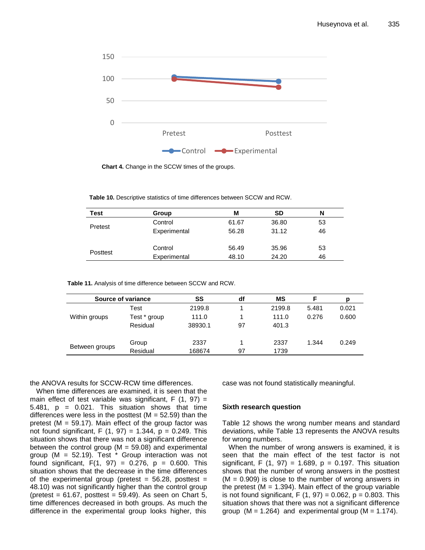

**Chart 4.** Change in the SCCW times of the groups.

**Table 10.** Descriptive statistics of time differences between SCCW and RCW.

| Test     | Group        | М     | SD    | N  |
|----------|--------------|-------|-------|----|
| Pretest  | Control      | 61.67 | 36.80 | 53 |
|          | Experimental | 56.28 | 31.12 | 46 |
|          | Control      | 56.49 | 35.96 | 53 |
| Posttest | Experimental | 48.10 | 24.20 | 46 |

**Table 11.** Analysis of time difference between SCCW and RCW.

| Source of variance |              | SS      | df | ΜS     | F     |       |
|--------------------|--------------|---------|----|--------|-------|-------|
|                    | Test         | 2199.8  |    | 2199.8 | 5.481 | 0.021 |
| Within groups      | Test * group | 111.0   | 4  | 111.0  | 0.276 | 0.600 |
|                    | Residual     | 38930.1 | 97 | 401.3  |       |       |
| Between groups     | Group        | 2337    |    | 2337   | 1.344 | 0.249 |
|                    | Residual     | 168674  | 97 | 1739   |       |       |

the ANOVA results for SCCW-RCW time differences.

When time differences are examined, it is seen that the main effect of test variable was significant,  $F(1, 97) =$ 5.481,  $p = 0.021$ . This situation shows that time differences were less in the posttest ( $M = 52.59$ ) than the pretest ( $M = 59.17$ ). Main effect of the group factor was not found significant, F  $(1, 97) = 1.344$ ,  $p = 0.249$ . This situation shows that there was not a significant difference between the control group ( $M = 59.08$ ) and experimental group (M = 52.19). Test \* Group interaction was not found significant,  $F(1, 97) = 0.276$ ,  $p = 0.600$ . This situation shows that the decrease in the time differences of the experimental group (pretest  $= 56.28$ , posttest  $=$ 48.10) was not significantly higher than the control group (pretest =  $61.67$ , posttest =  $59.49$ ). As seen on Chart 5, time differences decreased in both groups. As much the difference in the experimental group looks higher, this

case was not found statistically meaningful.

#### **Sixth research question**

Table 12 shows the wrong number means and standard deviations, while Table 13 represents the ANOVA results for wrong numbers.

When the number of wrong answers is examined, it is seen that the main effect of the test factor is not significant, F  $(1, 97) = 1.689$ ,  $p = 0.197$ . This situation shows that the number of wrong answers in the posttest  $(M = 0.909)$  is close to the number of wrong answers in the pretest ( $M = 1.394$ ). Main effect of the group variable is not found significant,  $F(1, 97) = 0.062$ ,  $p = 0.803$ . This situation shows that there was not a significant difference group  $(M = 1.264)$  and experimental group  $(M = 1.174)$ .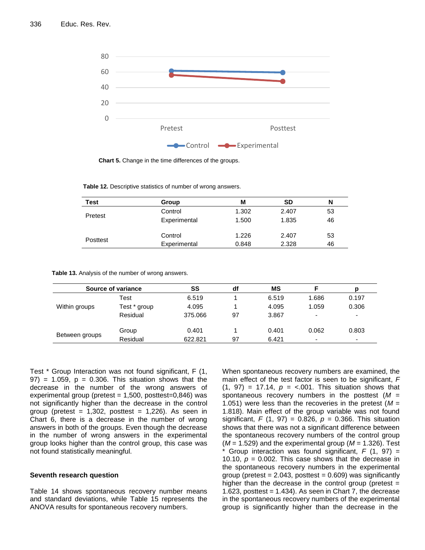

**Chart 5.** Change in the time differences of the groups.

|  | <b>Table 12.</b> Descriptive statistics of number of wrong answers. |  |  |  |  |  |
|--|---------------------------------------------------------------------|--|--|--|--|--|
|--|---------------------------------------------------------------------|--|--|--|--|--|

| Test     | Group        | М     | SD    | N  |
|----------|--------------|-------|-------|----|
|          | Control      | 1.302 | 2.407 | 53 |
| Pretest  | Experimental | 1.500 | 1.835 | 46 |
| Posttest | Control      | 1.226 | 2.407 | 53 |
|          | Experimental | 0.848 | 2.328 | 46 |

| Table 13. Analysis of the number of wrong answers. |  |  |
|----------------------------------------------------|--|--|
|----------------------------------------------------|--|--|

|                | Source of variance | SS      | df | ΜS    |                          | D                        |
|----------------|--------------------|---------|----|-------|--------------------------|--------------------------|
|                | Test               | 6.519   |    | 6.519 | 1.686                    | 0.197                    |
| Within groups  | Test * group       | 4.095   |    | 4.095 | 1.059                    | 0.306                    |
|                | Residual           | 375.066 | 97 | 3.867 | $\overline{\phantom{a}}$ | $\overline{\phantom{0}}$ |
| Between groups | Group              | 0.401   |    | 0.401 | 0.062                    | 0.803                    |
|                | Residual           | 622.821 | 97 | 6.421 | $\overline{\phantom{a}}$ | $\overline{\phantom{0}}$ |

Test \* Group Interaction was not found significant, F (1,  $97$  = 1.059,  $p = 0.306$ . This situation shows that the decrease in the number of the wrong answers of experimental group (pretest  $= 1,500$ , posttest=0,846) was not significantly higher than the decrease in the control group (pretest =  $1,302$ , posttest =  $1,226$ ). As seen in Chart 6, there is a decrease in the number of wrong answers in both of the groups. Even though the decrease in the number of wrong answers in the experimental group looks higher than the control group, this case was not found statistically meaningful.

## **Seventh research question**

Table 14 shows spontaneous recovery number means and standard deviations, while Table 15 represents the ANOVA results for spontaneous recovery numbers.

When spontaneous recovery numbers are examined, the main effect of the test factor is seen to be significant, *F*   $(1, 97) = 17.14$ ,  $p = < .001$ . This situation shows that spontaneous recovery numbers in the posttest (*M* = 1.051) were less than the recoveries in the pretest (*M* = 1.818). Main effect of the group variable was not found significant, *F* (1, 97) = 0.826, *p* = 0.366. This situation shows that there was not a significant difference between the spontaneous recovery numbers of the control group  $(M = 1.529)$  and the experimental group  $(M = 1.326)$ . Test Group interaction was found significant,  $F$  (1, 97) = 10.10,  $p = 0.002$ . This case shows that the decrease in the spontaneous recovery numbers in the experimental group (pretest  $= 2.043$ , posttest  $= 0.609$ ) was significantly higher than the decrease in the control group (pretest  $=$ 1.623, posttest  $= 1.434$ ). As seen in Chart 7, the decrease in the spontaneous recovery numbers of the experimental group is significantly higher than the decrease in the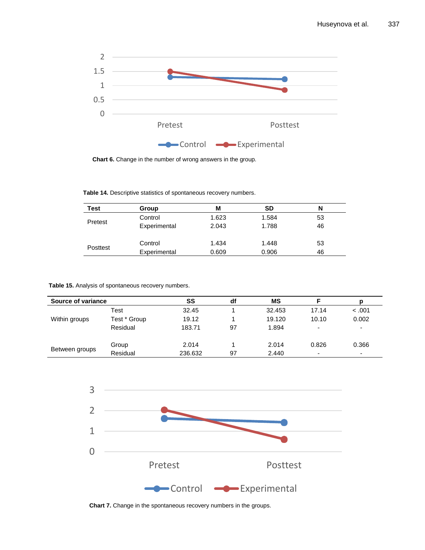

**Chart 6.** Change in the number of wrong answers in the group.

**Table 14.** Descriptive statistics of spontaneous recovery numbers.

**Table 15.** Analysis of spontaneous recovery numbers.

| Source of variance |              | SS      | df | ΜS     |                          |                          |
|--------------------|--------------|---------|----|--------|--------------------------|--------------------------|
|                    | Test         | 32.45   |    | 32.453 | 17.14                    | < 0.01                   |
| Within groups      | Test * Group | 19.12   |    | 19.120 | 10.10                    | 0.002                    |
|                    | Residual     | 183.71  | 97 | 1.894  | ۰                        | $\overline{\phantom{a}}$ |
| Between groups     | Group        | 2.014   |    | 2.014  | 0.826                    | 0.366                    |
|                    | Residual     | 236.632 | 97 | 2.440  | $\overline{\phantom{a}}$ | $\overline{\phantom{0}}$ |



**Chart 7.** Change in the spontaneous recovery numbers in the groups.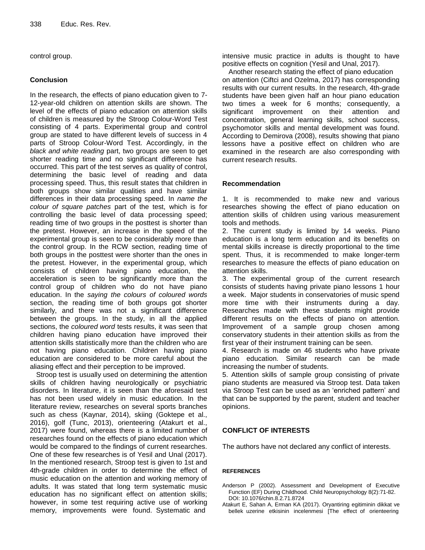control group.

## **Conclusion**

In the research, the effects of piano education given to 7- 12-year-old children on attention skills are shown. The level of the effects of piano education on attention skills of children is measured by the Stroop Colour-Word Test consisting of 4 parts. Experimental group and control group are stated to have different levels of success in 4 parts of Stroop Colour-Word Test. Accordingly, in the *black and white reading* part, two groups are seen to get shorter reading time and no significant difference has occurred. This part of the test serves as quality of control, determining the basic level of reading and data processing speed. Thus, this result states that children in both groups show similar qualities and have similar differences in their data processing speed. In *name the colour of square patches* part of the test, which is for controlling the basic level of data processing speed; reading time of two groups in the posttest is shorter than the pretest. However, an increase in the speed of the experimental group is seen to be considerably more than the control group. In the RCW section, reading time of both groups in the posttest were shorter than the ones in the pretest. However, in the experimental group, which consists of children having piano education, the acceleration is seen to be significantly more than the control group of children who do not have piano education. In the *saying the colours of coloured words* section, the reading time of both groups got shorter similarly, and there was not a significant difference between the groups. In the study, in all the applied sections, the *coloured word* tests results, it was seen that children having piano education have improved their attention skills statistically more than the children who are not having piano education. Children having piano education are considered to be more careful about the aliasing effect and their perception to be improved.

Stroop test is usually used on determining the attention skills of children having neurologically or psychiatric disorders. In literature, it is seen than the aforesaid test has not been used widely in music education. In the literature review, researches on several sports branches such as chess (Kaynar, 2014), skiing (Goktepe et al., 2016), golf (Tunc, 2013), orienteering (Atakurt et al., 2017) were found, whereas there is a limited number of researches found on the effects of piano education which would be compared to the findings of current researches. One of these few researches is of Yesil and Unal (2017). In the mentioned research, Stroop test is given to 1st and 4th-grade children in order to determine the effect of music education on the attention and working memory of adults. It was stated that long term systematic music education has no significant effect on attention skills; however, in some test requiring active use of working memory, improvements were found. Systematic and

intensive music practice in adults is thought to have positive effects on cognition (Yesil and Unal, 2017).

Another research stating the effect of piano education on attention (Ciftci and Ozelma, 2017) has corresponding results with our current results. In the research, 4th-grade students have been given half an hour piano education two times a week for 6 months; consequently, a significant improvement on their attention and concentration, general learning skills, school success, psychomotor skills and mental development was found. According to Demirova (2008), results showing that piano lessons have a positive effect on children who are examined in the research are also corresponding with current research results.

## **Recommendation**

1. It is recommended to make new and various researches showing the effect of piano education on attention skills of children using various measurement tools and methods.

2. The current study is limited by 14 weeks. Piano education is a long term education and its benefits on mental skills increase is directly proportional to the time spent. Thus, it is recommended to make longer-term researches to measure the effects of piano education on attention skills.

3. The experimental group of the current research consists of students having private piano lessons 1 hour a week. Major students in conservatories of music spend more time with their instruments during a day. Researches made with these students might provide different results on the effects of piano on attention. Improvement of a sample group chosen among conservatory students in their attention skills as from the first year of their instrument training can be seen.

4. Research is made on 46 students who have private piano education. Similar research can be made increasing the number of students.

5. Attention skills of sample group consisting of private piano students are measured via Stroop test. Data taken via Stroop Test can be used as an 'enriched pattern' and that can be supported by the parent, student and teacher opinions.

## **CONFLICT OF INTERESTS**

The authors have not declared any conflict of interests.

## **REFERENCES**

- Anderson P (2002). Assessment and Development of Executive Function (EF) During Childhood. Child Neuropsychology 8(2):71-82. DOI: 10.1076/chin.8.2.71.8724
- Atakurt E, Sahan A, Erman KA (2017). Oryantiring egitiminin dikkat ve bellek uzerine etkisinin incelenmesi [The effect of orienteering